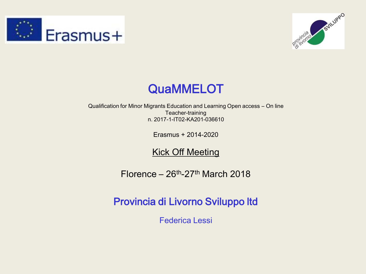





Qualification for Minor Migrants Education and Learning Open access – On line Teacher-training n. 2017-1-IT02-KA201-036610

Erasmus + 2014-2020

#### Kick Off Meeting

 $Florence - 26<sup>th</sup>-27<sup>th</sup> March 2018$ 

Provincia di Livorno Sviluppo ltd

Federica Lessi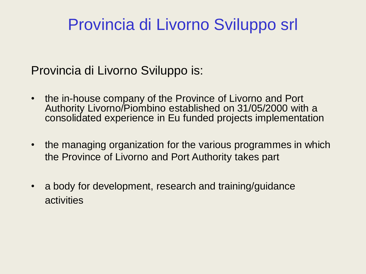#### Provincia di Livorno Sviluppo srl

#### Provincia di Livorno Sviluppo is:

- the in-house company of the Province of Livorno and Port Authority Livorno/Piombino established on 31/05/2000 with a consolidated experience in Eu funded projects implementation
- the managing organization for the various programmes in which the Province of Livorno and Port Authority takes part
- a body for development, research and training/guidance activities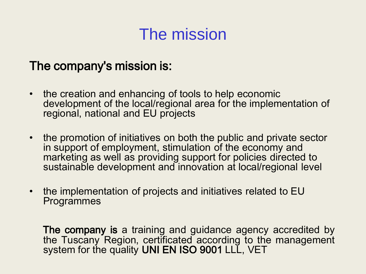## The mission

#### The company's mission is:

- the creation and enhancing of tools to help economic development of the local/regional area for the implementation of regional, national and EU projects
- the promotion of initiatives on both the public and private sector in support of employment, stimulation of the economy and marketing as well as providing support for policies directed to sustainable development and innovation at local/regional level
- the implementation of projects and initiatives related to EU Programmes

The company is a training and guidance agency accredited by the Tuscany Region, certificated according to the management system for the quality UNI EN ISO 9001 LLL, VET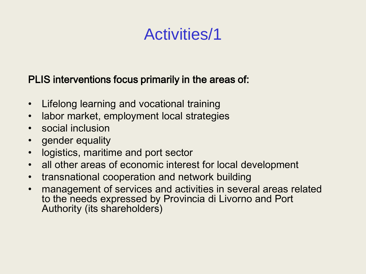## Activities/1

#### PLIS interventions focus primarily in the areas of:

- Lifelong learning and vocational training
- labor market, employment local strategies
- social inclusion
- gender equality
- logistics, maritime and port sector
- all other areas of economic interest for local development
- transnational cooperation and network building
- management of services and activities in several areas related to the needs expressed by Provincia di Livorno and Port Authority (its shareholders)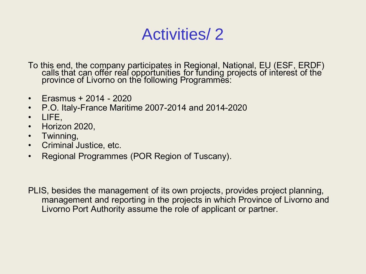#### Activities/ 2

To this end, the company participates in Regional, National, EU (ESF, ERDF) calls that can offer real opportunities for funding projects of interest of the province of Livorno on the following Programmes:

- Erasmus + 2014 2020
- P.O. Italy-France Maritime 2007-2014 and 2014-2020
- LIFE,
- Horizon 2020,
- Twinning,
- Criminal Justice, etc.
- Regional Programmes (POR Region of Tuscany).

PLIS, besides the management of its own projects, provides project planning, management and reporting in the projects in which Province of Livorno and Livorno Port Authority assume the role of applicant or partner.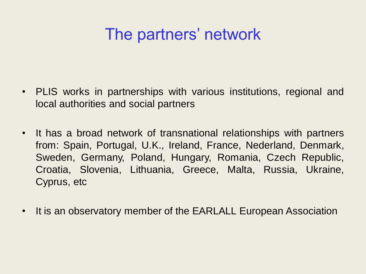### The partners' network

- PLIS works in partnerships with various institutions, regional and local authorities and social partners
- It has a broad network of transnational relationships with partners from: Spain, Portugal, U.K., Ireland, France, Nederland, Denmark, Sweden, Germany, Poland, Hungary, Romania, Czech Republic, Croatia, Slovenia, Lithuania, Greece, Malta, Russia, Ukraine, Cyprus, etc
- It is an observatory member of the EARLALL European Association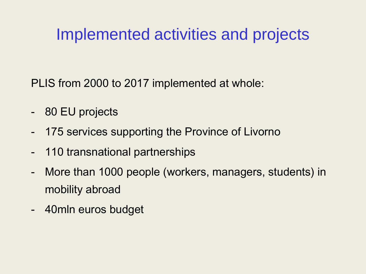## Implemented activities and projects

PLIS from 2000 to 2017 implemented at whole:

- 80 EU projects
- 175 services supporting the Province of Livorno
- 110 transnational partnerships
- More than 1000 people (workers, managers, students) in mobility abroad
- 40mln euros budget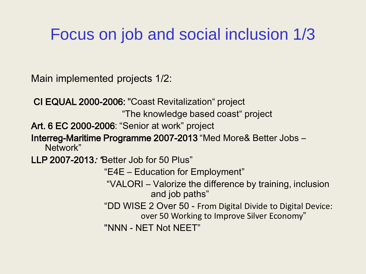## Focus on job and social inclusion 1/3

Main implemented projects 1/2:

 CI EQUAL 2000-2006: "Coast Revitalization" project "The knowledge based coast" project Art. 6 EC 2000-2006: "Senior at work" project Interreg-Maritime Programme 2007-2013 "Med More& Better Jobs – Network" LLP 2007-2013: "Better Job for 50 Plus" "E4E – Education for Employment" "VALORI – Valorize the difference by training, inclusion and job paths" "DD WISE 2 Over 50 - From Digital Divide to Digital Device: over 50 Working to Improve Silver Economy" "NNN - NET Not NEET"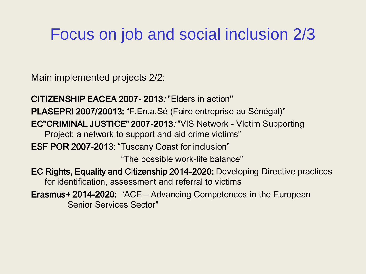#### Focus on job and social inclusion 2/3

Main implemented projects 2/2:

CITIZENSHIP EACEA 2007- 2013: "Elders in action" PLASEPRI 2007/20013: "F.En.a.Sé (Faire entreprise au Sénégal)" EC"CRIMINAL JUSTICE" 2007-2013: "VIS Network - VIctim Supporting Project: a network to support and aid crime victims" ESF POR 2007-2013: "Tuscany Coast for inclusion" "The possible work-life balance" EC Rights, Equality and Citizenship 2014-2020: Developing Directive practices for identification, assessment and referral to victims Erasmus+ 2014-2020: "ACE – Advancing Competences in the European Senior Services Sector"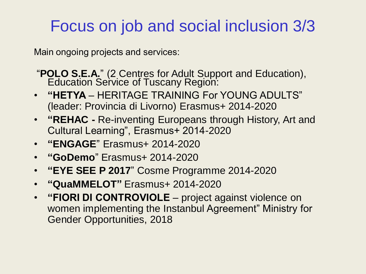#### Focus on job and social inclusion 3/3

Main ongoing projects and services:

- "**POLO S.E.A.**" (2 Centres for Adult Support and Education), **Education Service of Tuscany Region:**
- **"HETYA**  HERITAGE TRAINING For YOUNG ADULTS" (leader: Provincia di Livorno) Erasmus+ 2014-2020
- **"REHAC -** Re-inventing Europeans through History, Art and Cultural Learning", Erasmus+ 2014-2020
- **"ENGAGE**" Erasmus+ 2014-2020
- **"GoDemo**" Erasmus+ 2014-2020
- **"EYE SEE P 2017**" Cosme Programme 2014-2020
- **"QuaMMELOT"** Erasmus+ 2014-2020
- **"FIORI DI CONTROVIOLE**  project against violence on women implementing the Instanbul Agreement" Ministry for Gender Opportunities, 2018